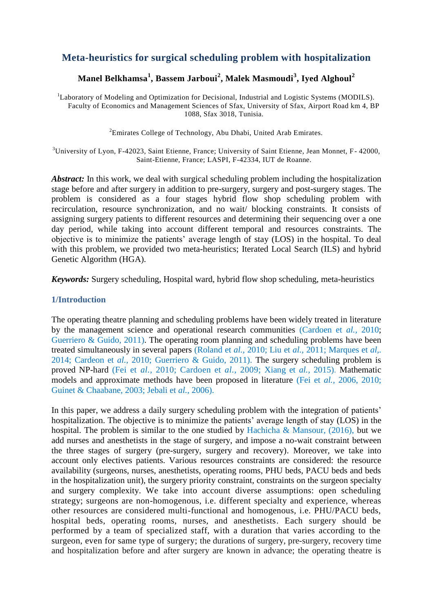# **Meta-heuristics for surgical scheduling problem with hospitalization**

## **Manel Belkhamsa<sup>1</sup> , Bassem Jarboui<sup>2</sup> , Malek Masmoudi<sup>3</sup> , Iyed Alghoul<sup>2</sup>**

<sup>1</sup>Laboratory of Modeling and Optimization for Decisional, Industrial and Logistic Systems (MODILS). Faculty of Economics and Management Sciences of Sfax, University of Sfax, Airport Road km 4, BP 1088, Sfax 3018, Tunisia.

<sup>2</sup>Emirates College of Technology, Abu Dhabi, United Arab Emirates.

 $3$ University of Lyon, F-42023, Saint Etienne, France; University of Saint Etienne, Jean Monnet, F-42000, Saint-Etienne, France; LASPI, F-42334, IUT de Roanne.

*Abstract:* In this work, we deal with surgical scheduling problem including the hospitalization stage before and after surgery in addition to pre-surgery, surgery and post-surgery stages. The problem is considered as a four stages hybrid flow shop scheduling problem with recirculation, resource synchronization, and no wait/ blocking constraints. It consists of assigning surgery patients to different resources and determining their sequencing over a one day period, while taking into account different temporal and resources constraints. The objective is to minimize the patients' average length of stay (LOS) in the hospital. To deal with this problem, we provided two meta-heuristics; Iterated Local Search (ILS) and hybrid Genetic Algorithm (HGA).

*Keywords:* Surgery scheduling, Hospital ward, hybrid flow shop scheduling, meta-heuristics

### **1/Introduction**

The operating theatre planning and scheduling problems have been widely treated in literature by the management science and operational research communities (Cardoen et *al.,* 2010; Guerriero & Guido, 2011). The operating room planning and scheduling problems have been treated simultaneously in several papers (Roland et *al.,* 2010; Liu et *al.,* 2011; Marques et *al,.* 2014; Cardeon et *al.,* 2010; Guerriero & Guido, 2011). The surgery scheduling problem is proved NP-hard (Fei et *al.,* 2010; Cardoen et *al.,* 2009; Xiang et *al.,* 2015). Mathematic models and approximate methods have been proposed in literature (Fei et *al.,* 2006, 2010; Guinet & Chaabane, 2003; Jebali et *al.,* 2006).

In this paper, we address a daily surgery scheduling problem with the integration of patients' hospitalization. The objective is to minimize the patients' average length of stay (LOS) in the hospital. The problem is similar to the one studied by Hachicha & Mansour,  $(2016)$ , but we add nurses and anesthetists in the stage of surgery, and impose a no-wait constraint between the three stages of surgery (pre-surgery, surgery and recovery). Moreover, we take into account only electives patients. Various resources constraints are considered: the resource availability (surgeons, nurses, anesthetists, operating rooms, PHU beds, PACU beds and beds in the hospitalization unit), the surgery priority constraint, constraints on the surgeon specialty and surgery complexity. We take into account diverse assumptions: open scheduling strategy; surgeons are non-homogenous, i.e. different specialty and experience, whereas other resources are considered multi-functional and homogenous, i.e. PHU/PACU beds, hospital beds, operating rooms, nurses, and anesthetists. Each surgery should be performed by a team of specialized staff, with a duration that varies according to the surgeon, even for same type of surgery; the durations of surgery, pre-surgery, recovery time and hospitalization before and after surgery are known in advance; the operating theatre is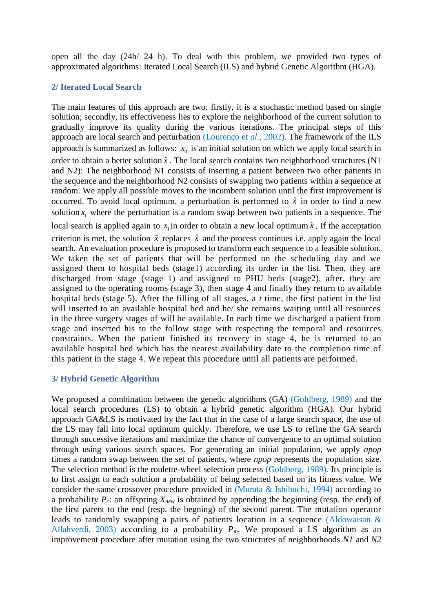open all the day (24h/ 24 h). To deal with this problem, we provided two types of approximated algorithms: Iterated Local Search (ILS) and hybrid Genetic Algorithm (HGA).

## **2/ Iterated Local Search**

The main features of this approach are two: firstly, it is a stochastic method based on single solution; secondly, its effectiveness lies to explore the neighborhood of the current solution to gradually improve its quality during the various iterations. The principal steps of this approach are local search and perturbation (Lourenço et *al.,* 2002). The framework of the ILS approach is summarized as follows:  $x_0$  is an initial solution on which we apply local search in order to obtain a better solution  $\hat{x}$ . The local search contains two neighborhood structures (N1 and N2): The neighborhood N1 consists of inserting a patient between two other patients in the sequence and the neighborhood N2 consists of swapping two patients within a sequence at random. We apply all possible moves to the incumbent solution until the first improvement is occurred. To avoid local optimum, a perturbation is performed to  $\hat{x}$  in order to find a new solution  $x_1$  where the perturbation is a random swap between two patients in a sequence. The local search is applied again to  $x_1$  in order to obtain a new local optimum  $\tilde{x}$ . If the acceptation criterion is met, the solution  $\tilde{x}$  replaces  $\hat{x}$  and the process continues i.e. apply again the local search. An evaluation procedure is proposed to transform each sequence to a feasible solution. We taken the set of patients that will be performed on the scheduling day and we assigned them to hospital beds (stage1) according its order in the list. Then, they are discharged from stage (stage 1) and assigned to PHU beds (stage2), after, they are assigned to the operating rooms (stage 3), then stage 4 and finally they return to available hospital beds (stage 5). After the filling of all stages, a *t* time, the first patient in the list will inserted to an available hospital bed and he/ she remains waiting until all resources in the three surgery stages of will be available. In each time we discharged a patient from stage and inserted his to the follow stage with respecting the temporal and resources constraints. When the patient finished its recovery in stage 4, he is returned to an available hospital bed which has the nearest availability date to the completion time of this patient in the stage 4. We repeat this procedure until all patients are performed.

#### **3/ Hybrid Genetic Algorithm**

We proposed a combination between the genetic algorithms (GA) (Goldberg, 1989) and the local search procedures (LS) to obtain a hybrid genetic algorithm (HGA). Our hybrid approach GA&LS is motivated by the fact that in the case of a large search space, the use of the LS may fall into local optimum quickly. Therefore, we use LS to refine the GA search through successive iterations and maximize the chance of convergence to an optimal solution through using various search spaces. For generating an initial population, we apply *npop*  times a random swap between the set of patients, where *npop* represents the population size. The selection method is the roulette-wheel selection process (Goldberg, 1989). Its principle is to first assign to each solution a probability of being selected based on its fitness value. We consider the same crossover procedure provided in (Murata & Ishibuchi, 1994) according to a probability *Pc*: an offspring *Xnew* is obtained by appending the beginning (resp. the end) of the first parent to the end (resp. the begning) of the second parent. The mutation operator leads to randomly swapping a pairs of patients location in a sequence (Aldowaisan & Allahverdi, 2003) according to a probability  $P_m$ . We proposed a LS algorithm as an improvement procedure after mutation using the two structures of neighborhoods *N1* and *N2*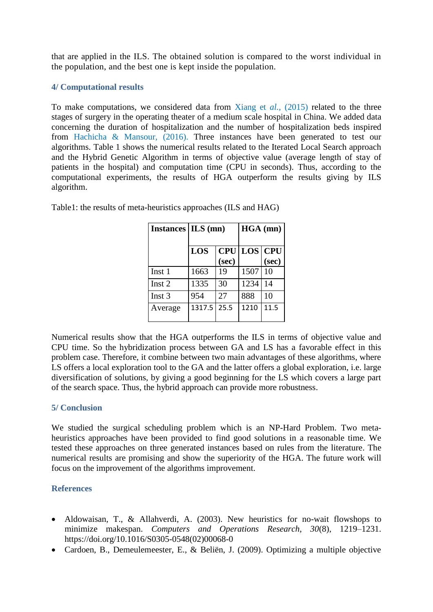that are applied in the ILS. The obtained solution is compared to the worst individual in the population, and the best one is kept inside the population.

## **4/ Computational results**

To make computations, we considered data from Xiang et *al.,* (2015) related to the three stages of surgery in the operating theater of a medium scale hospital in China. We added data concerning the duration of hospitalization and the number of hospitalization beds inspired from Hachicha & Mansour, (2016). Three instances have been generated to test our algorithms. Table 1 shows the numerical results related to the Iterated Local Search approach and the Hybrid Genetic Algorithm in terms of objective value (average length of stay of patients in the hospital) and computation time (CPU in seconds). Thus, according to the computational experiments, the results of HGA outperform the results giving by ILS algorithm.

| Instances   ILS (mn) |        |       | $HGA$ (mn)         |       |
|----------------------|--------|-------|--------------------|-------|
|                      | LOS    | (sec) | <b>CPU LOS CPU</b> | (sec) |
| Inst 1               | 1663   | 19    | 1507               | 10    |
| Inst 2               | 1335   | 30    | 1234               | 14    |
| Inst $3$             | 954    | 27    | 888                | 10    |
| Average              | 1317.5 | 25.5  | 1210               | 11.5  |

Table1: the results of meta-heuristics approaches (ILS and HAG)

Numerical results show that the HGA outperforms the ILS in terms of objective value and CPU time. So the hybridization process between GA and LS has a favorable effect in this problem case. Therefore, it combine between two main advantages of these algorithms, where LS offers a local exploration tool to the GA and the latter offers a global exploration, i.e. large diversification of solutions, by giving a good beginning for the LS which covers a large part of the search space. Thus, the hybrid approach can provide more robustness.

## **5/ Conclusion**

We studied the surgical scheduling problem which is an NP-Hard Problem. Two metaheuristics approaches have been provided to find good solutions in a reasonable time. We tested these approaches on three generated instances based on rules from the literature. The numerical results are promising and show the superiority of the HGA. The future work will focus on the improvement of the algorithms improvement.

#### **References**

- Aldowaisan, T., & Allahverdi, A. (2003). New heuristics for no-wait flowshops to minimize makespan. *Computers and Operations Research*, *30*(8), 1219–1231. https://doi.org/10.1016/S0305-0548(02)00068-0
- Cardoen, B., Demeulemeester, E., & Beliën, J. (2009). Optimizing a multiple objective